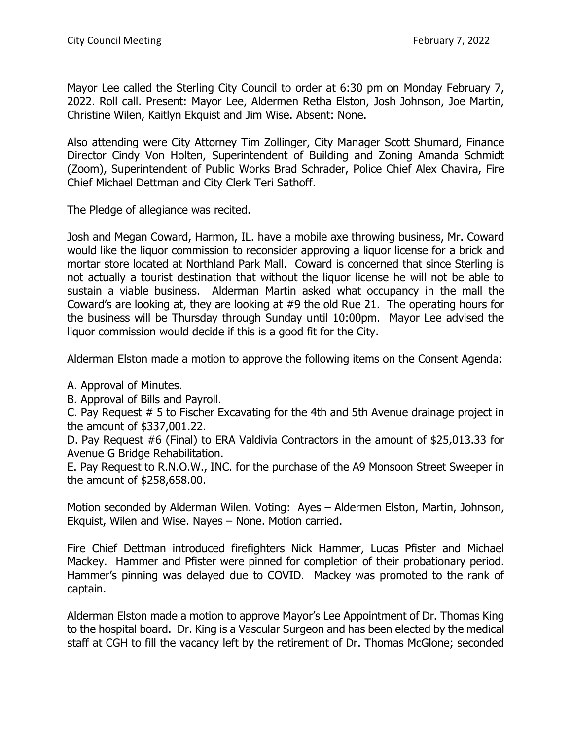Mayor Lee called the Sterling City Council to order at 6:30 pm on Monday February 7, 2022. Roll call. Present: Mayor Lee, Aldermen Retha Elston, Josh Johnson, Joe Martin, Christine Wilen, Kaitlyn Ekquist and Jim Wise. Absent: None.

Also attending were City Attorney Tim Zollinger, City Manager Scott Shumard, Finance Director Cindy Von Holten, Superintendent of Building and Zoning Amanda Schmidt (Zoom), Superintendent of Public Works Brad Schrader, Police Chief Alex Chavira, Fire Chief Michael Dettman and City Clerk Teri Sathoff.

The Pledge of allegiance was recited.

Josh and Megan Coward, Harmon, IL. have a mobile axe throwing business, Mr. Coward would like the liquor commission to reconsider approving a liquor license for a brick and mortar store located at Northland Park Mall. Coward is concerned that since Sterling is not actually a tourist destination that without the liquor license he will not be able to sustain a viable business. Alderman Martin asked what occupancy in the mall the Coward's are looking at, they are looking at #9 the old Rue 21. The operating hours for the business will be Thursday through Sunday until 10:00pm. Mayor Lee advised the liquor commission would decide if this is a good fit for the City.

Alderman Elston made a motion to approve the following items on the Consent Agenda:

A. Approval of Minutes.

B. Approval of Bills and Payroll.

C. Pay Request # 5 to Fischer Excavating for the 4th and 5th Avenue drainage project in the amount of \$337,001.22.

D. Pay Request #6 (Final) to ERA Valdivia Contractors in the amount of \$25,013.33 for Avenue G Bridge Rehabilitation.

E. Pay Request to R.N.O.W., INC. for the purchase of the A9 Monsoon Street Sweeper in the amount of \$258,658.00.

Motion seconded by Alderman Wilen. Voting: Ayes – Aldermen Elston, Martin, Johnson, Ekquist, Wilen and Wise. Nayes – None. Motion carried.

Fire Chief Dettman introduced firefighters Nick Hammer, Lucas Pfister and Michael Mackey. Hammer and Pfister were pinned for completion of their probationary period. Hammer's pinning was delayed due to COVID. Mackey was promoted to the rank of captain.

Alderman Elston made a motion to approve Mayor's Lee Appointment of Dr. Thomas King to the hospital board. Dr. King is a Vascular Surgeon and has been elected by the medical staff at CGH to fill the vacancy left by the retirement of Dr. Thomas McGlone; seconded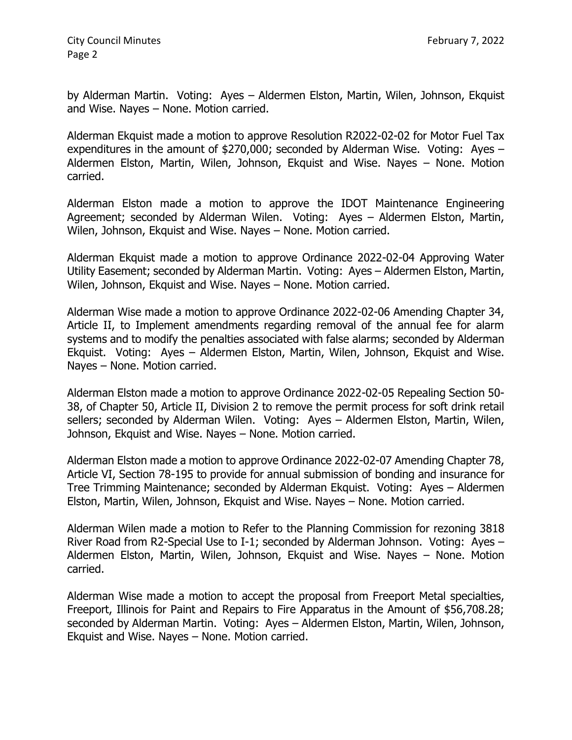City Council Minutes **February 7, 2022** Page 2

by Alderman Martin. Voting: Ayes – Aldermen Elston, Martin, Wilen, Johnson, Ekquist and Wise. Nayes – None. Motion carried.

Alderman Ekquist made a motion to approve Resolution R2022-02-02 for Motor Fuel Tax expenditures in the amount of \$270,000; seconded by Alderman Wise. Voting: Ayes – Aldermen Elston, Martin, Wilen, Johnson, Ekquist and Wise. Nayes – None. Motion carried.

Alderman Elston made a motion to approve the IDOT Maintenance Engineering Agreement; seconded by Alderman Wilen. Voting: Ayes – Aldermen Elston, Martin, Wilen, Johnson, Ekquist and Wise. Nayes – None. Motion carried.

Alderman Ekquist made a motion to approve Ordinance 2022-02-04 Approving Water Utility Easement; seconded by Alderman Martin. Voting: Ayes – Aldermen Elston, Martin, Wilen, Johnson, Ekquist and Wise. Nayes – None. Motion carried.

Alderman Wise made a motion to approve Ordinance 2022-02-06 Amending Chapter 34, Article II, to Implement amendments regarding removal of the annual fee for alarm systems and to modify the penalties associated with false alarms; seconded by Alderman Ekquist. Voting: Ayes – Aldermen Elston, Martin, Wilen, Johnson, Ekquist and Wise. Nayes – None. Motion carried.

Alderman Elston made a motion to approve Ordinance 2022-02-05 Repealing Section 50- 38, of Chapter 50, Article II, Division 2 to remove the permit process for soft drink retail sellers; seconded by Alderman Wilen. Voting: Ayes – Aldermen Elston, Martin, Wilen, Johnson, Ekquist and Wise. Nayes – None. Motion carried.

Alderman Elston made a motion to approve Ordinance 2022-02-07 Amending Chapter 78, Article VI, Section 78-195 to provide for annual submission of bonding and insurance for Tree Trimming Maintenance; seconded by Alderman Ekquist. Voting: Ayes – Aldermen Elston, Martin, Wilen, Johnson, Ekquist and Wise. Nayes – None. Motion carried.

Alderman Wilen made a motion to Refer to the Planning Commission for rezoning 3818 River Road from R2-Special Use to I-1; seconded by Alderman Johnson. Voting: Ayes – Aldermen Elston, Martin, Wilen, Johnson, Ekquist and Wise. Nayes – None. Motion carried.

Alderman Wise made a motion to accept the proposal from Freeport Metal specialties, Freeport, Illinois for Paint and Repairs to Fire Apparatus in the Amount of \$56,708.28; seconded by Alderman Martin. Voting: Ayes – Aldermen Elston, Martin, Wilen, Johnson, Ekquist and Wise. Nayes – None. Motion carried.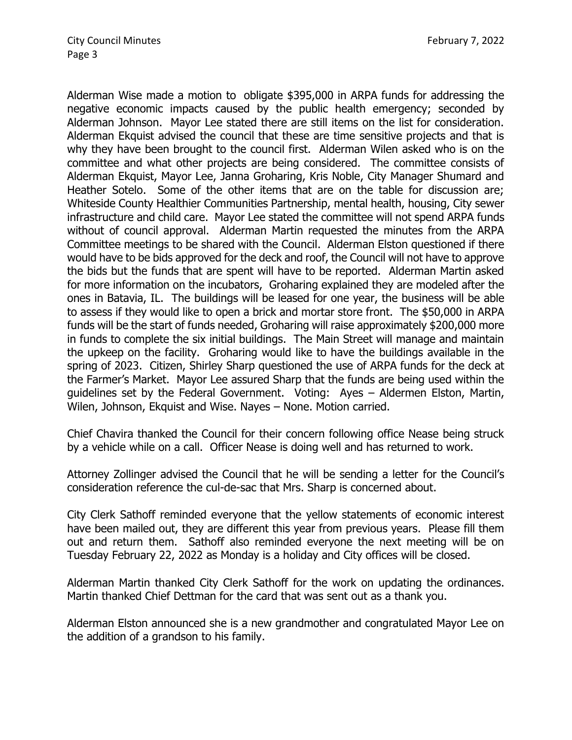Alderman Wise made a motion to obligate \$395,000 in ARPA funds for addressing the negative economic impacts caused by the public health emergency; seconded by Alderman Johnson. Mayor Lee stated there are still items on the list for consideration. Alderman Ekquist advised the council that these are time sensitive projects and that is why they have been brought to the council first. Alderman Wilen asked who is on the committee and what other projects are being considered. The committee consists of Alderman Ekquist, Mayor Lee, Janna Groharing, Kris Noble, City Manager Shumard and Heather Sotelo. Some of the other items that are on the table for discussion are; Whiteside County Healthier Communities Partnership, mental health, housing, City sewer infrastructure and child care. Mayor Lee stated the committee will not spend ARPA funds without of council approval. Alderman Martin requested the minutes from the ARPA Committee meetings to be shared with the Council. Alderman Elston questioned if there would have to be bids approved for the deck and roof, the Council will not have to approve the bids but the funds that are spent will have to be reported. Alderman Martin asked for more information on the incubators, Groharing explained they are modeled after the ones in Batavia, IL. The buildings will be leased for one year, the business will be able to assess if they would like to open a brick and mortar store front. The \$50,000 in ARPA funds will be the start of funds needed, Groharing will raise approximately \$200,000 more in funds to complete the six initial buildings. The Main Street will manage and maintain the upkeep on the facility. Groharing would like to have the buildings available in the spring of 2023. Citizen, Shirley Sharp questioned the use of ARPA funds for the deck at the Farmer's Market. Mayor Lee assured Sharp that the funds are being used within the guidelines set by the Federal Government. Voting: Ayes – Aldermen Elston, Martin, Wilen, Johnson, Ekquist and Wise. Nayes – None. Motion carried.

Chief Chavira thanked the Council for their concern following office Nease being struck by a vehicle while on a call. Officer Nease is doing well and has returned to work.

Attorney Zollinger advised the Council that he will be sending a letter for the Council's consideration reference the cul-de-sac that Mrs. Sharp is concerned about.

City Clerk Sathoff reminded everyone that the yellow statements of economic interest have been mailed out, they are different this year from previous years. Please fill them out and return them. Sathoff also reminded everyone the next meeting will be on Tuesday February 22, 2022 as Monday is a holiday and City offices will be closed.

Alderman Martin thanked City Clerk Sathoff for the work on updating the ordinances. Martin thanked Chief Dettman for the card that was sent out as a thank you.

Alderman Elston announced she is a new grandmother and congratulated Mayor Lee on the addition of a grandson to his family.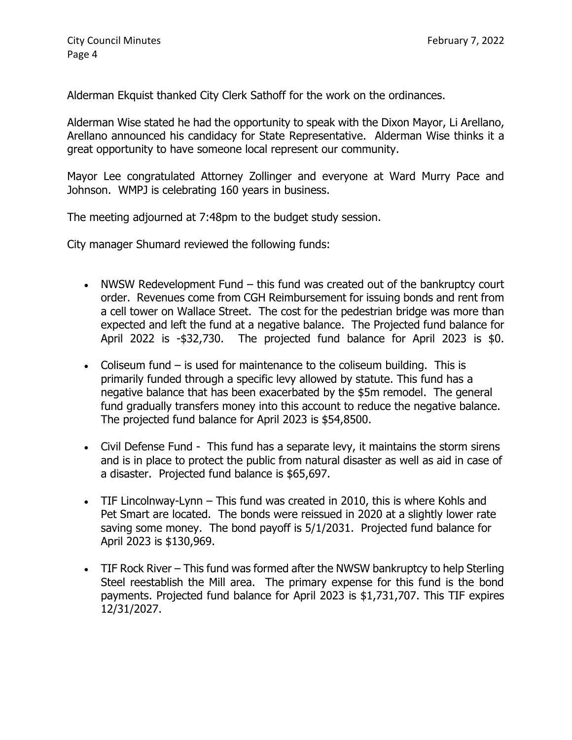Alderman Ekquist thanked City Clerk Sathoff for the work on the ordinances.

Alderman Wise stated he had the opportunity to speak with the Dixon Mayor, Li Arellano, Arellano announced his candidacy for State Representative. Alderman Wise thinks it a great opportunity to have someone local represent our community.

Mayor Lee congratulated Attorney Zollinger and everyone at Ward Murry Pace and Johnson. WMPJ is celebrating 160 years in business.

The meeting adjourned at 7:48pm to the budget study session.

City manager Shumard reviewed the following funds:

- NWSW Redevelopment Fund this fund was created out of the bankruptcy court order. Revenues come from CGH Reimbursement for issuing bonds and rent from a cell tower on Wallace Street. The cost for the pedestrian bridge was more than expected and left the fund at a negative balance. The Projected fund balance for April 2022 is -\$32,730. The projected fund balance for April 2023 is \$0.
- Coliseum fund is used for maintenance to the coliseum building. This is primarily funded through a specific levy allowed by statute. This fund has a negative balance that has been exacerbated by the \$5m remodel. The general fund gradually transfers money into this account to reduce the negative balance. The projected fund balance for April 2023 is \$54,8500.
- Civil Defense Fund This fund has a separate levy, it maintains the storm sirens and is in place to protect the public from natural disaster as well as aid in case of a disaster. Projected fund balance is \$65,697.
- TIF Lincolnway-Lynn This fund was created in 2010, this is where Kohls and Pet Smart are located. The bonds were reissued in 2020 at a slightly lower rate saving some money. The bond payoff is 5/1/2031. Projected fund balance for April 2023 is \$130,969.
- TIF Rock River This fund was formed after the NWSW bankruptcy to help Sterling Steel reestablish the Mill area. The primary expense for this fund is the bond payments. Projected fund balance for April 2023 is \$1,731,707. This TIF expires 12/31/2027.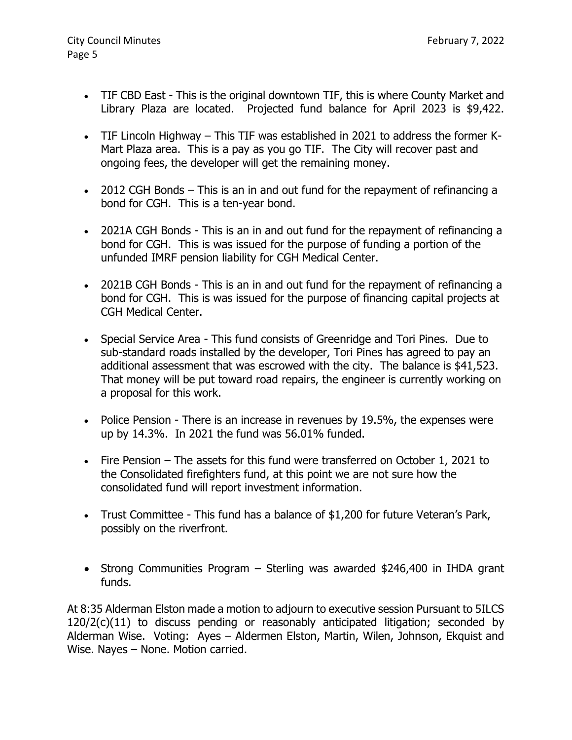- TIF CBD East This is the original downtown TIF, this is where County Market and Library Plaza are located. Projected fund balance for April 2023 is \$9,422.
- TIF Lincoln Highway This TIF was established in 2021 to address the former K-Mart Plaza area. This is a pay as you go TIF. The City will recover past and ongoing fees, the developer will get the remaining money.
- 2012 CGH Bonds This is an in and out fund for the repayment of refinancing a bond for CGH. This is a ten-year bond.
- 2021A CGH Bonds This is an in and out fund for the repayment of refinancing a bond for CGH. This is was issued for the purpose of funding a portion of the unfunded IMRF pension liability for CGH Medical Center.
- 2021B CGH Bonds This is an in and out fund for the repayment of refinancing a bond for CGH. This is was issued for the purpose of financing capital projects at CGH Medical Center.
- Special Service Area This fund consists of Greenridge and Tori Pines. Due to sub-standard roads installed by the developer, Tori Pines has agreed to pay an additional assessment that was escrowed with the city. The balance is \$41,523. That money will be put toward road repairs, the engineer is currently working on a proposal for this work.
- Police Pension There is an increase in revenues by 19.5%, the expenses were up by 14.3%. In 2021 the fund was 56.01% funded.
- Fire Pension The assets for this fund were transferred on October 1, 2021 to the Consolidated firefighters fund, at this point we are not sure how the consolidated fund will report investment information.
- Trust Committee This fund has a balance of \$1,200 for future Veteran's Park, possibly on the riverfront.
- Strong Communities Program Sterling was awarded \$246,400 in IHDA grant funds.

At 8:35 Alderman Elston made a motion to adjourn to executive session Pursuant to 5ILCS 120/2(c)(11) to discuss pending or reasonably anticipated litigation; seconded by Alderman Wise. Voting: Ayes – Aldermen Elston, Martin, Wilen, Johnson, Ekquist and Wise. Nayes – None. Motion carried.